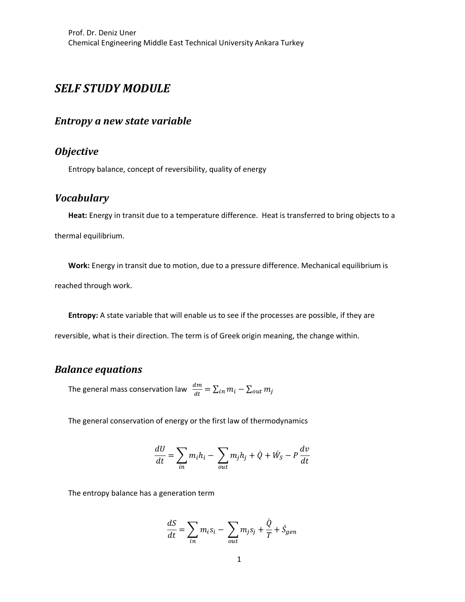## *SELF STUDY MODULE*

#### *Entropy a new state variable*

## *Objective*

Entropy balance, concept of reversibility, quality of energy

### *Vocabulary*

**Heat:** Energy in transit due to a temperature difference. Heat is transferred to bring objects to a thermal equilibrium.

**Work:** Energy in transit due to motion, due to a pressure difference. Mechanical equilibrium is reached through work.

**Entropy:** A state variable that will enable us to see if the processes are possible, if they are reversible, what is their direction. The term is of Greek origin meaning, the change within.

#### *Balance equations*

The general mass conservation law  $\;\frac{dm}{dt}=\sum_{in}m_i-\sum_{out}m_j$ 

The general conservation of energy or the first law of thermodynamics

$$
\frac{dU}{dt} = \sum_{in} m_i h_i - \sum_{out} m_j h_j + \dot{Q} + \dot{W}_S - P\frac{dv}{dt}
$$

The entropy balance has a generation term

$$
\frac{dS}{dt} = \sum_{in} m_i s_i - \sum_{out} m_j s_j + \frac{\dot{Q}}{T} + \dot{S}_{gen}
$$